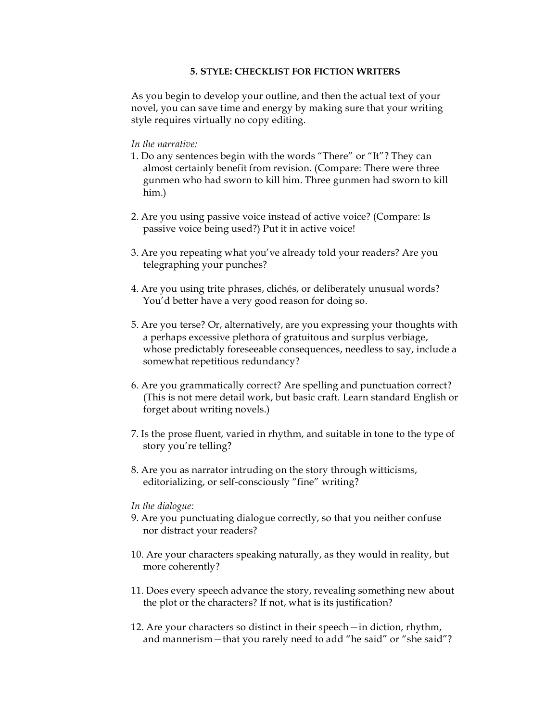## **5. STYLE: CHECKLIST FOR FICTION WRITERS**

As you begin to develop your outline, and then the actual text of your novel, you can save time and energy by making sure that your writing style requires virtually no copy editing.

## *In the narrative:*

- 1. Do any sentences begin with the words "There" or "It"? They can almost certainly benefit from revision. (Compare: There were three gunmen who had sworn to kill him. Three gunmen had sworn to kill him.)
- 2. Are you using passive voice instead of active voice? (Compare: Is passive voice being used?) Put it in active voice!
- 3. Are you repeating what you've already told your readers? Are you telegraphing your punches?
- 4. Are you using trite phrases, clichés, or deliberately unusual words? You'd better have a very good reason for doing so.
- 5. Are you terse? Or, alternatively, are you expressing your thoughts with a perhaps excessive plethora of gratuitous and surplus verbiage, whose predictably foreseeable consequences, needless to say, include a somewhat repetitious redundancy?
- 6. Are you grammatically correct? Are spelling and punctuation correct? (This is not mere detail work, but basic craft. Learn standard English or forget about writing novels.)
- 7. Is the prose fluent, varied in rhythm, and suitable in tone to the type of story you're telling?
- 8. Are you as narrator intruding on the story through witticisms, editorializing, or self-consciously "fine" writing?

## *In the dialogue:*

- 9. Are you punctuating dialogue correctly, so that you neither confuse nor distract your readers?
- 10. Are your characters speaking naturally, as they would in reality, but more coherently?
- 11. Does every speech advance the story, revealing something new about the plot or the characters? If not, what is its justification?
- 12. Are your characters so distinct in their speech—in diction, rhythm, and mannerism—that you rarely need to add "he said" or "she said"?